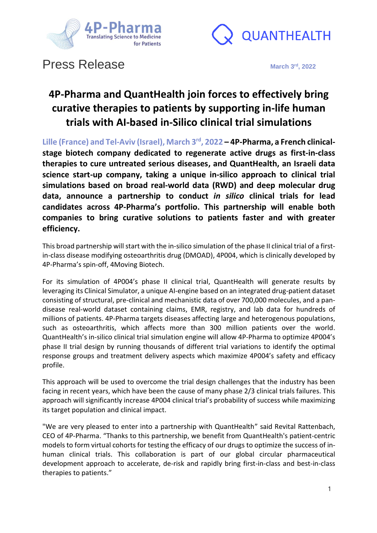



# **Press Release**

**rd , 2022**

### **4P-Pharma and QuantHealth join forces to effectively bring curative therapies to patients by supporting in-life human trials with AI-based in-Silico clinical trial simulations**

**Lille (France) and Tel-Aviv (Israel), March 3rd, 2022 – 4P-Pharma, a French clinicalstage biotech company dedicated to regenerate active drugs as first-in-class therapies to cure untreated serious diseases, and QuantHealth, an Israeli data science start-up company, taking a unique in-silico approach to clinical trial simulations based on broad real-world data (RWD) and deep molecular drug data, announce a partnership to conduct** *in silico* **clinical trials for lead candidates across 4P-Pharma's portfolio. This partnership will enable both companies to bring curative solutions to patients faster and with greater efficiency.**

This broad partnership will start with the in-silico simulation of the phase II clinical trial of a firstin-class disease modifying osteoarthritis drug (DMOAD), 4P004, which is clinically developed by 4P-Pharma's spin-off, 4Moving Biotech.

For its simulation of 4P004's phase II clinical trial, QuantHealth will generate results by leveraging its Clinical Simulator, a unique AI-engine based on an integrated drug-patient dataset consisting of structural, pre-clinical and mechanistic data of over 700,000 molecules, and a pandisease real-world dataset containing claims, EMR, registry, and lab data for hundreds of millions of patients. 4P-Pharma targets diseases affecting large and heterogenous populations, such as osteoarthritis, which affects more than 300 million patients over the world. QuantHealth's in-silico clinical trial simulation engine will allow 4P-Pharma to optimize 4P004's phase II trial design by running thousands of different trial variations to identify the optimal response groups and treatment delivery aspects which maximize 4P004's safety and efficacy profile.

This approach will be used to overcome the trial design challenges that the industry has been facing in recent years, which have been the cause of many phase 2/3 clinical trials failures. This approach will significantly increase 4P004 clinical trial's probability of success while maximizing its target population and clinical impact.

"We are very pleased to enter into a partnership with QuantHealth" said Revital Rattenbach, CEO of 4P-Pharma. "Thanks to this partnership, we benefit from QuantHealth's patient-centric models to form virtual cohorts for testing the efficacy of our drugs to optimize the success of inhuman clinical trials. This collaboration is part of our global circular pharmaceutical development approach to accelerate, de-risk and rapidly bring first-in-class and best-in-class therapies to patients."